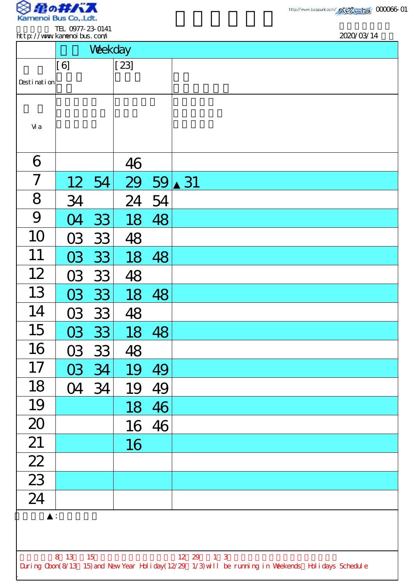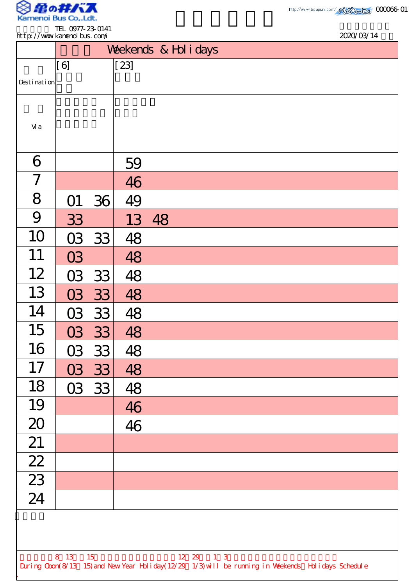

TEL 0977-23-0141 http://www.kamenoibus.com/

| http://www.kanenoi.bus.com/ |         |                                                   |                       |                   |  |  |                                                                                                    | 2020/03/14 |  |
|-----------------------------|---------|---------------------------------------------------|-----------------------|-------------------|--|--|----------------------------------------------------------------------------------------------------|------------|--|
|                             |         |                                                   | Weekends & Hol i days |                   |  |  |                                                                                                    |            |  |
|                             | [6]     |                                                   | $[23]$                |                   |  |  |                                                                                                    |            |  |
| Desti nati on               |         |                                                   |                       |                   |  |  |                                                                                                    |            |  |
|                             |         |                                                   |                       |                   |  |  |                                                                                                    |            |  |
| Vi a                        |         |                                                   |                       |                   |  |  |                                                                                                    |            |  |
| 6                           |         |                                                   | 59                    |                   |  |  |                                                                                                    |            |  |
| 7                           |         |                                                   | 46                    |                   |  |  |                                                                                                    |            |  |
| 8                           | O1      | 36                                                | 49                    |                   |  |  |                                                                                                    |            |  |
| 9                           | 33      |                                                   |                       | 13 48             |  |  |                                                                                                    |            |  |
| 10                          | 03      | 33                                                | 48                    |                   |  |  |                                                                                                    |            |  |
| 11                          | 03      |                                                   | 48                    |                   |  |  |                                                                                                    |            |  |
| 12                          | 03      | 33                                                | 48                    |                   |  |  |                                                                                                    |            |  |
| 13                          | 03      | 33                                                | 48                    |                   |  |  |                                                                                                    |            |  |
| 14                          | 03      | 33                                                | 48                    |                   |  |  |                                                                                                    |            |  |
| 15                          |         | 03 33                                             | 48                    |                   |  |  |                                                                                                    |            |  |
| 16                          |         | 03 33                                             | 48                    |                   |  |  |                                                                                                    |            |  |
| 17                          | 03      | 33                                                | 48                    |                   |  |  |                                                                                                    |            |  |
| 18                          |         | $\begin{array}{ c c } \hline 03 & 33 \end{array}$ | 48                    |                   |  |  |                                                                                                    |            |  |
| 19                          |         |                                                   | 46                    |                   |  |  |                                                                                                    |            |  |
| 20                          |         |                                                   | 46                    |                   |  |  |                                                                                                    |            |  |
| 21                          |         |                                                   |                       |                   |  |  |                                                                                                    |            |  |
| $\boxed{22}$                |         |                                                   |                       |                   |  |  |                                                                                                    |            |  |
| 23<br>$\overline{24}$       |         |                                                   |                       |                   |  |  |                                                                                                    |            |  |
|                             |         |                                                   |                       |                   |  |  |                                                                                                    |            |  |
|                             |         |                                                   |                       |                   |  |  |                                                                                                    |            |  |
|                             | 8 13 15 |                                                   |                       | $12 \t29 \t1 \t3$ |  |  |                                                                                                    |            |  |
|                             |         |                                                   |                       |                   |  |  | During Cbon(8/13 15) and New Year Holiday(12/29 1/3) will be running in Weekends Holidays Schedule |            |  |